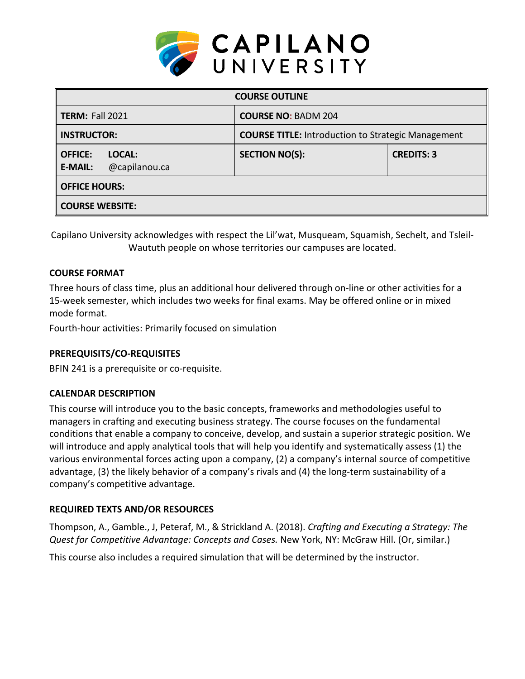

| <b>COURSE OUTLINE</b>                                       |                                                           |                   |  |  |  |
|-------------------------------------------------------------|-----------------------------------------------------------|-------------------|--|--|--|
| <b>TERM: Fall 2021</b>                                      | <b>COURSE NO: BADM 204</b>                                |                   |  |  |  |
| <b>INSTRUCTOR:</b>                                          | <b>COURSE TITLE:</b> Introduction to Strategic Management |                   |  |  |  |
| <b>OFFICE:</b><br>LOCAL:<br>@capilanou.ca<br><b>E-MAIL:</b> | <b>SECTION NO(S):</b>                                     | <b>CREDITS: 3</b> |  |  |  |
| <b>OFFICE HOURS:</b>                                        |                                                           |                   |  |  |  |
| <b>COURSE WEBSITE:</b>                                      |                                                           |                   |  |  |  |

Capilano University acknowledges with respect the Lil'wat, Musqueam, Squamish, Sechelt, and Tsleil-Waututh people on whose territories our campuses are located.

# **COURSE FORMAT**

Three hours of class time, plus an additional hour delivered through on-line or other activities for a 15-week semester, which includes two weeks for final exams. May be offered online or in mixed mode format.

Fourth-hour activities: Primarily focused on simulation

# **PREREQUISITS/CO-REQUISITES**

BFIN 241 is a prerequisite or co-requisite.

# **CALENDAR DESCRIPTION**

This course will introduce you to the basic concepts, frameworks and methodologies useful to managers in crafting and executing business strategy. The course focuses on the fundamental conditions that enable a company to conceive, develop, and sustain a superior strategic position. We will introduce and apply analytical tools that will help you identify and systematically assess (1) the various environmental forces acting upon a company, (2) a company's internal source of competitive advantage, (3) the likely behavior of a company's rivals and (4) the long-term sustainability of a company's competitive advantage.

# **REQUIRED TEXTS AND/OR RESOURCES**

Thompson, A., Gamble., J, Peteraf, M., & Strickland A. (2018). *Crafting and Executing a Strategy: The Quest for Competitive Advantage: Concepts and Cases.* New York, NY: McGraw Hill. (Or, similar.)

This course also includes a required simulation that will be determined by the instructor.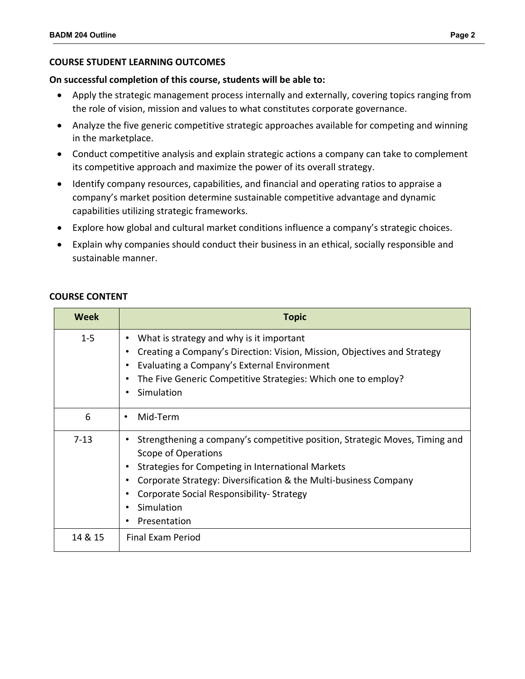## **COURSE STUDENT LEARNING OUTCOMES**

### **On successful completion of this course, students will be able to:**

- Apply the strategic management process internally and externally, covering topics ranging from the role of vision, mission and values to what constitutes corporate governance.
- Analyze the five generic competitive strategic approaches available for competing and winning in the marketplace.
- Conduct competitive analysis and explain strategic actions a company can take to complement its competitive approach and maximize the power of its overall strategy.
- Identify company resources, capabilities, and financial and operating ratios to appraise a company's market position determine sustainable competitive advantage and dynamic capabilities utilizing strategic frameworks.
- Explore how global and cultural market conditions influence a company's strategic choices.
- Explain why companies should conduct their business in an ethical, socially responsible and sustainable manner.

| <b>Week</b> | <b>Topic</b>                                                                                                                                                                                                                                                                                          |
|-------------|-------------------------------------------------------------------------------------------------------------------------------------------------------------------------------------------------------------------------------------------------------------------------------------------------------|
| $1 - 5$     | What is strategy and why is it important<br>Creating a Company's Direction: Vision, Mission, Objectives and Strategy<br>Evaluating a Company's External Environment<br>The Five Generic Competitive Strategies: Which one to employ?<br>Simulation                                                    |
| 6           | Mid-Term<br>$\bullet$                                                                                                                                                                                                                                                                                 |
| $7-13$      | Strengthening a company's competitive position, Strategic Moves, Timing and<br>Scope of Operations<br>Strategies for Competing in International Markets<br>Corporate Strategy: Diversification & the Multi-business Company<br>Corporate Social Responsibility-Strategy<br>Simulation<br>Presentation |
| 14 & 15     | Final Exam Period                                                                                                                                                                                                                                                                                     |

### **COURSE CONTENT**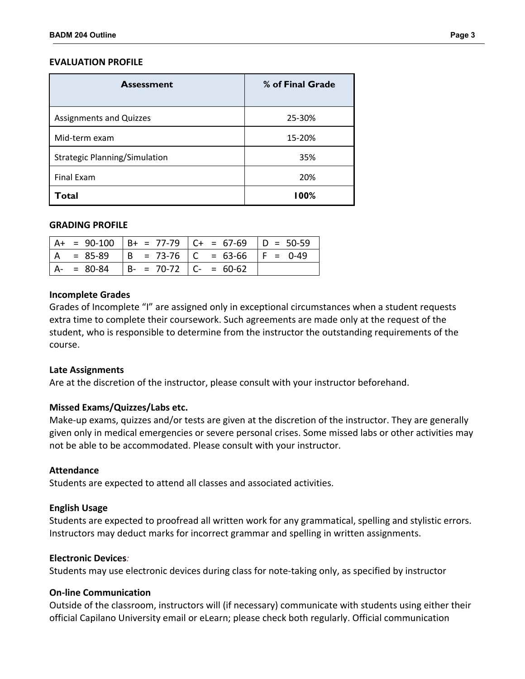### **EVALUATION PROFILE**

| <b>Assessment</b>                    | % of Final Grade |  |
|--------------------------------------|------------------|--|
| <b>Assignments and Quizzes</b>       | 25-30%           |  |
| Mid-term exam                        | 15-20%           |  |
| <b>Strategic Planning/Simulation</b> | 35%              |  |
| <b>Final Exam</b>                    | 20%              |  |
| Total                                | <b>00%</b>       |  |

#### **GRADING PROFILE**

|     |             |                           | $A+ = 90-100$ $B+ = 77-79$ $C+ = 67-69$ $D = 50-59$ |  |
|-----|-------------|---------------------------|-----------------------------------------------------|--|
| l A |             |                           | $= 85-89$  B = 73-76  C = 63-66  F = 0-49           |  |
|     | $A - 80-84$ | $B- = 70-72$ $C- = 60-62$ |                                                     |  |

#### **Incomplete Grades**

Grades of Incomplete "I" are assigned only in exceptional circumstances when a student requests extra time to complete their coursework. Such agreements are made only at the request of the student, who is responsible to determine from the instructor the outstanding requirements of the course.

### **Late Assignments**

Are at the discretion of the instructor, please consult with your instructor beforehand.

### **Missed Exams/Quizzes/Labs etc.**

Make-up exams, quizzes and/or tests are given at the discretion of the instructor. They are generally given only in medical emergencies or severe personal crises. Some missed labs or other activities may not be able to be accommodated. Please consult with your instructor.

#### **Attendance**

Students are expected to attend all classes and associated activities.

### **English Usage**

Students are expected to proofread all written work for any grammatical, spelling and stylistic errors. Instructors may deduct marks for incorrect grammar and spelling in written assignments.

#### **Electronic Devices***:*

Students may use electronic devices during class for note-taking only, as specified by instructor

### **On-line Communication**

Outside of the classroom, instructors will (if necessary) communicate with students using either their official Capilano University email or eLearn; please check both regularly. Official communication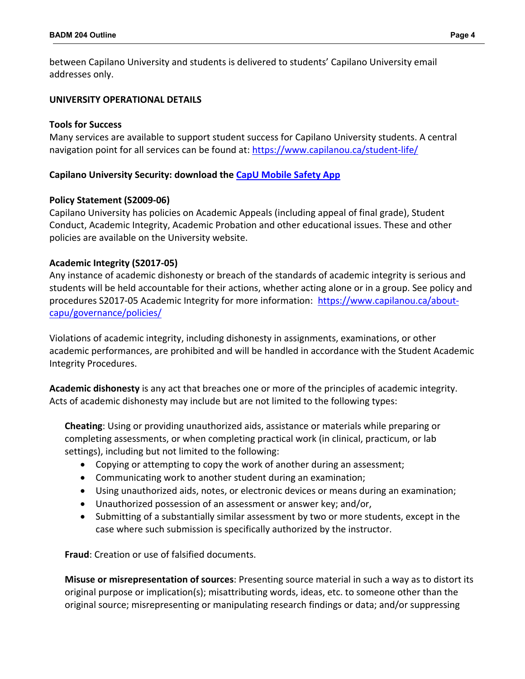between Capilano University and students is delivered to students' Capilano University email addresses only.

# **UNIVERSITY OPERATIONAL DETAILS**

## **Tools for Success**

Many services are available to support student success for Capilano University students. A central navigation point for all services can be found at:<https://www.capilanou.ca/student-life/>

# **Capilano University Security: download the [CapU Mobile Safety App](https://www.capilanou.ca/student-life/support--wellness/safety--security/capu-safe-app/)**

## **Policy Statement (S2009-06)**

Capilano University has policies on Academic Appeals (including appeal of final grade), Student Conduct, Academic Integrity, Academic Probation and other educational issues. These and other policies are available on the University website.

# **Academic Integrity (S2017-05)**

Any instance of academic dishonesty or breach of the standards of academic integrity is serious and students will be held accountable for their actions, whether acting alone or in a group. See policy and procedures S2017-05 Academic Integrity for more information: [https://www.capilanou.ca/about](https://www.capilanou.ca/about-capu/governance/policies/)[capu/governance/policies/](https://www.capilanou.ca/about-capu/governance/policies/) 

Violations of academic integrity, including dishonesty in assignments, examinations, or other academic performances, are prohibited and will be handled in accordance with the Student Academic Integrity Procedures.

**Academic dishonesty** is any act that breaches one or more of the principles of academic integrity. Acts of academic dishonesty may include but are not limited to the following types:

**Cheating**: Using or providing unauthorized aids, assistance or materials while preparing or completing assessments, or when completing practical work (in clinical, practicum, or lab settings), including but not limited to the following:

- Copying or attempting to copy the work of another during an assessment;
- Communicating work to another student during an examination;
- Using unauthorized aids, notes, or electronic devices or means during an examination;
- Unauthorized possession of an assessment or answer key; and/or,
- Submitting of a substantially similar assessment by two or more students, except in the case where such submission is specifically authorized by the instructor.

**Fraud**: Creation or use of falsified documents.

**Misuse or misrepresentation of sources**: Presenting source material in such a way as to distort its original purpose or implication(s); misattributing words, ideas, etc. to someone other than the original source; misrepresenting or manipulating research findings or data; and/or suppressing